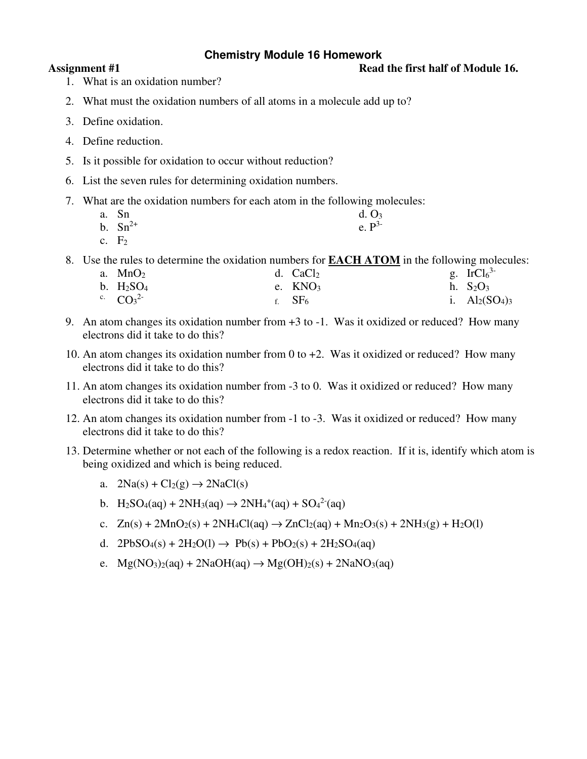# **Chemistry Module 16 Homework**

### Assignment #1 Read the first half of Module 16.

- 1. What is an oxidation number?
- 2. What must the oxidation numbers of all atoms in a molecule add up to?
- 3. Define oxidation.
- 4. Define reduction.
- 5. Is it possible for oxidation to occur without reduction?
- 6. List the seven rules for determining oxidation numbers.
- 7. What are the oxidation numbers for each atom in the following molecules:
	- a. Sn d.  $O_3$
	- b.  $\text{Sn}^{2+}$  e.  $\text{P}^{3-}$
	- c.  $F_2$

8. Use the rules to determine the oxidation numbers for **EACH ATOM** in the following molecules:

| a. $MnO2$                 | d. $CaCl2$ | g. $IrCl63$       |
|---------------------------|------------|-------------------|
| b. $H_2SO_4$              | e. $KNO3$  | h. $S_2O_3$       |
| <sup>c.</sup> $CO_3^{2-}$ | f. $SF6$   | i. $Al_2(SO_4)_3$ |

- 9. An atom changes its oxidation number from +3 to -1. Was it oxidized or reduced? How many electrons did it take to do this?
- 10. An atom changes its oxidation number from 0 to  $+2$ . Was it oxidized or reduced? How many electrons did it take to do this?
- 11. An atom changes its oxidation number from -3 to 0. Was it oxidized or reduced? How many electrons did it take to do this?
- 12. An atom changes its oxidation number from -1 to -3. Was it oxidized or reduced? How many electrons did it take to do this?
- 13. Determine whether or not each of the following is a redox reaction. If it is, identify which atom is being oxidized and which is being reduced.
	- a.  $2Na(s) + Cl_2(g) \rightarrow 2NaCl(s)$
	- b.  $H_2SO_4(aq) + 2NH_3(aq) \rightarrow 2NH_4^+(aq) + SO_4^{2-}(aq)$
	- c.  $Zn(s) + 2MnO_2(s) + 2NH_4Cl(aq) \rightarrow ZnCl_2(aq) + Mn_2O_3(s) + 2NH_3(g) + H_2O(l)$
	- d.  $2PbSO_4(s) + 2H_2O(l) \rightarrow Pb(s) + PbO_2(s) + 2H_2SO_4(aq)$
	- e.  $Mg(NO_3)_2(aq) + 2NaOH(aq) \rightarrow Mg(OH)_2(s) + 2NaNO_3(aq)$